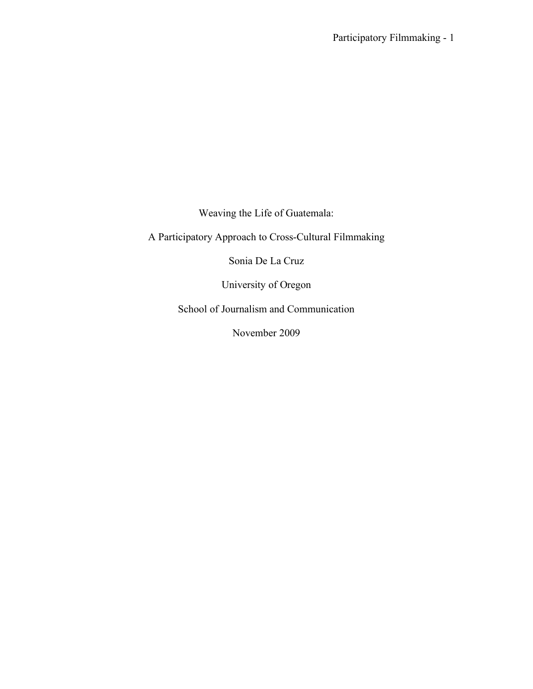Weaving the Life of Guatemala:

A Participatory Approach to Cross-Cultural Filmmaking

Sonia De La Cruz

University of Oregon

School of Journalism and Communication

November 2009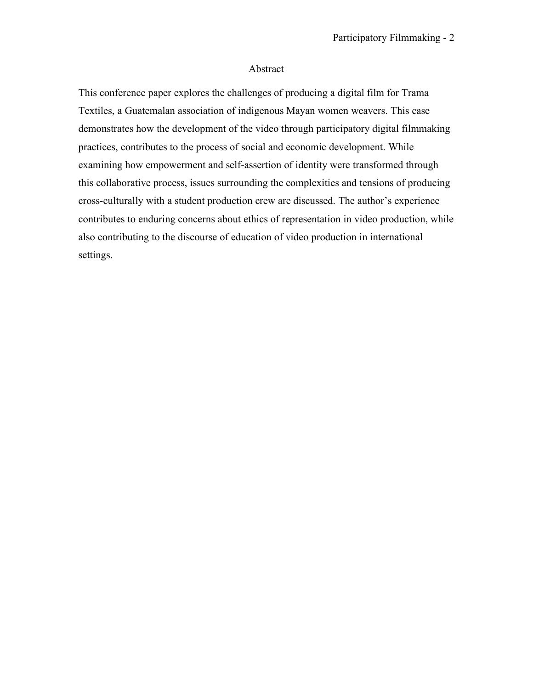### Abstract

This conference paper explores the challenges of producing a digital film for Trama Textiles, a Guatemalan association of indigenous Mayan women weavers. This case demonstrates how the development of the video through participatory digital filmmaking practices, contributes to the process of social and economic development. While examining how empowerment and self-assertion of identity were transformed through this collaborative process, issues surrounding the complexities and tensions of producing cross-culturally with a student production crew are discussed. The author's experience contributes to enduring concerns about ethics of representation in video production, while also contributing to the discourse of education of video production in international settings.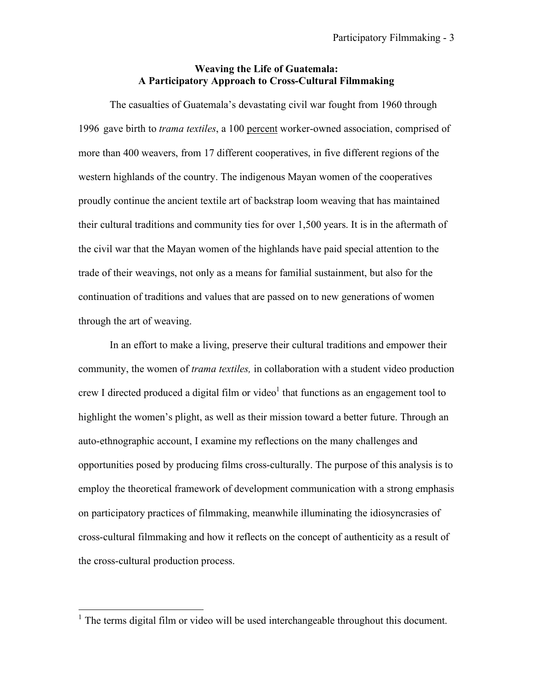# **Weaving the Life of Guatemala: A Participatory Approach to Cross-Cultural Filmmaking**

The casualties of Guatemala's devastating civil war fought from 1960 through 1996 gave birth to *trama textiles*, a 100 percent worker-owned association, comprised of more than 400 weavers, from 17 different cooperatives, in five different regions of the western highlands of the country. The indigenous Mayan women of the cooperatives proudly continue the ancient textile art of backstrap loom weaving that has maintained their cultural traditions and community ties for over 1,500 years. It is in the aftermath of the civil war that the Mayan women of the highlands have paid special attention to the trade of their weavings, not only as a means for familial sustainment, but also for the continuation of traditions and values that are passed on to new generations of women through the art of weaving.

In an effort to make a living, preserve their cultural traditions and empower their community, the women of *trama textiles,* in collaboration with a student video production crew I directed produced a digital film or video<sup>1</sup> that functions as an engagement tool to highlight the women's plight, as well as their mission toward a better future. Through an auto-ethnographic account, I examine my reflections on the many challenges and opportunities posed by producing films cross-culturally. The purpose of this analysis is to employ the theoretical framework of development communication with a strong emphasis on participatory practices of filmmaking, meanwhile illuminating the idiosyncrasies of cross-cultural filmmaking and how it reflects on the concept of authenticity as a result of the cross-cultural production process.

<sup>&</sup>lt;sup>1</sup> The terms digital film or video will be used interchangeable throughout this document.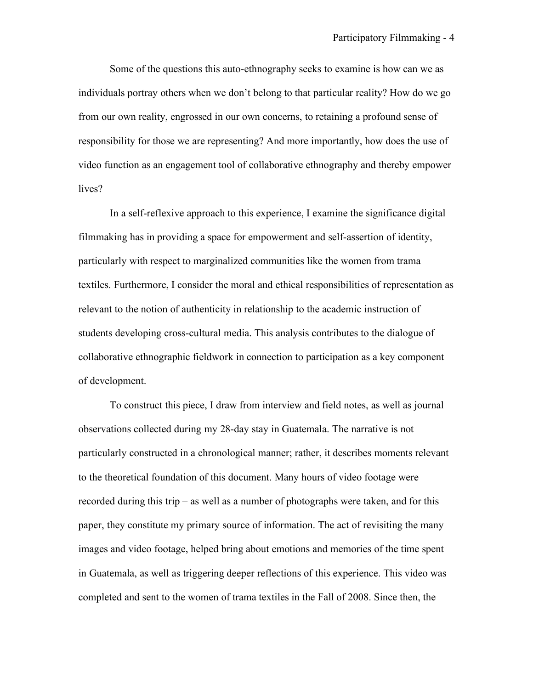Some of the questions this auto-ethnography seeks to examine is how can we as individuals portray others when we don't belong to that particular reality? How do we go from our own reality, engrossed in our own concerns, to retaining a profound sense of responsibility for those we are representing? And more importantly, how does the use of video function as an engagement tool of collaborative ethnography and thereby empower lives?

In a self-reflexive approach to this experience, I examine the significance digital filmmaking has in providing a space for empowerment and self-assertion of identity, particularly with respect to marginalized communities like the women from trama textiles. Furthermore, I consider the moral and ethical responsibilities of representation as relevant to the notion of authenticity in relationship to the academic instruction of students developing cross-cultural media. This analysis contributes to the dialogue of collaborative ethnographic fieldwork in connection to participation as a key component of development.

To construct this piece, I draw from interview and field notes, as well as journal observations collected during my 28-day stay in Guatemala. The narrative is not particularly constructed in a chronological manner; rather, it describes moments relevant to the theoretical foundation of this document. Many hours of video footage were recorded during this trip – as well as a number of photographs were taken, and for this paper, they constitute my primary source of information. The act of revisiting the many images and video footage, helped bring about emotions and memories of the time spent in Guatemala, as well as triggering deeper reflections of this experience. This video was completed and sent to the women of trama textiles in the Fall of 2008. Since then, the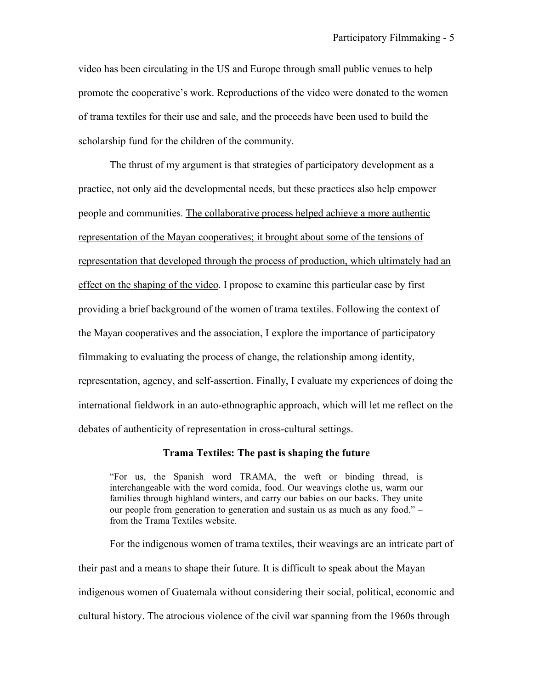video has been circulating in the US and Europe through small public venues to help promote the cooperative's work. Reproductions of the video were donated to the women of trama textiles for their use and sale, and the proceeds have been used to build the scholarship fund for the children of the community.

The thrust of my argument is that strategies of participatory development as a practice, not only aid the developmental needs, but these practices also help empower people and communities. The collaborative process helped achieve a more authentic representation of the Mayan cooperatives; it brought about some of the tensions of representation that developed through the process of production, which ultimately had an effect on the shaping of the video. I propose to examine this particular case by first providing a brief background of the women of trama textiles. Following the context of the Mayan cooperatives and the association, I explore the importance of participatory filmmaking to evaluating the process of change, the relationship among identity, representation, agency, and self-assertion. Finally, I evaluate my experiences of doing the international fieldwork in an auto-ethnographic approach, which will let me reflect on the debates of authenticity of representation in cross-cultural settings.

#### **Trama Textiles: The past is shaping the future**

"For us, the Spanish word TRAMA, the weft or binding thread, is interchangeable with the word comida, food. Our weavings clothe us, warm our families through highland winters, and carry our babies on our backs. They unite our people from generation to generation and sustain us as much as any food." – from the Trama Textiles website.

For the indigenous women of trama textiles, their weavings are an intricate part of their past and a means to shape their future. It is difficult to speak about the Mayan indigenous women of Guatemala without considering their social, political, economic and cultural history. The atrocious violence of the civil war spanning from the 1960s through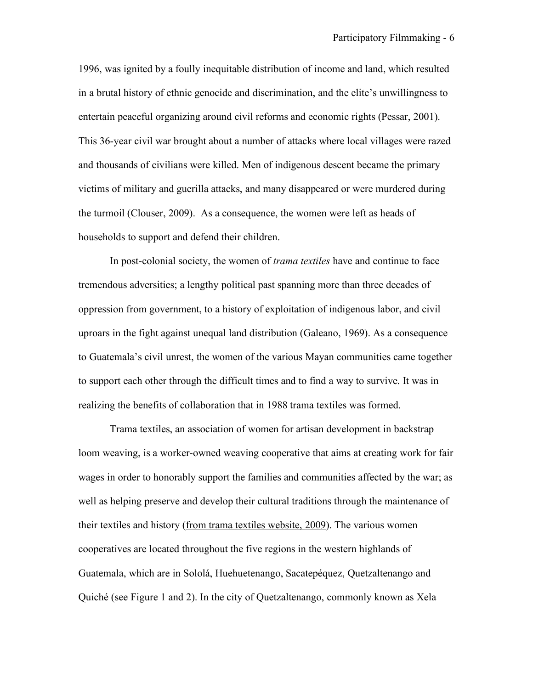1996, was ignited by a foully inequitable distribution of income and land, which resulted in a brutal history of ethnic genocide and discrimination, and the elite's unwillingness to entertain peaceful organizing around civil reforms and economic rights (Pessar, 2001). This 36-year civil war brought about a number of attacks where local villages were razed and thousands of civilians were killed. Men of indigenous descent became the primary victims of military and guerilla attacks, and many disappeared or were murdered during the turmoil (Clouser, 2009). As a consequence, the women were left as heads of households to support and defend their children.

In post-colonial society, the women of *trama textiles* have and continue to face tremendous adversities; a lengthy political past spanning more than three decades of oppression from government, to a history of exploitation of indigenous labor, and civil uproars in the fight against unequal land distribution (Galeano, 1969). As a consequence to Guatemala's civil unrest, the women of the various Mayan communities came together to support each other through the difficult times and to find a way to survive. It was in realizing the benefits of collaboration that in 1988 trama textiles was formed.

Trama textiles, an association of women for artisan development in backstrap loom weaving, is a worker-owned weaving cooperative that aims at creating work for fair wages in order to honorably support the families and communities affected by the war; as well as helping preserve and develop their cultural traditions through the maintenance of their textiles and history (from trama textiles website, 2009). The various women cooperatives are located throughout the five regions in the western highlands of Guatemala, which are in Sololá, Huehuetenango, Sacatepéquez, Quetzaltenango and Quiché (see Figure 1 and 2). In the city of Quetzaltenango, commonly known as Xela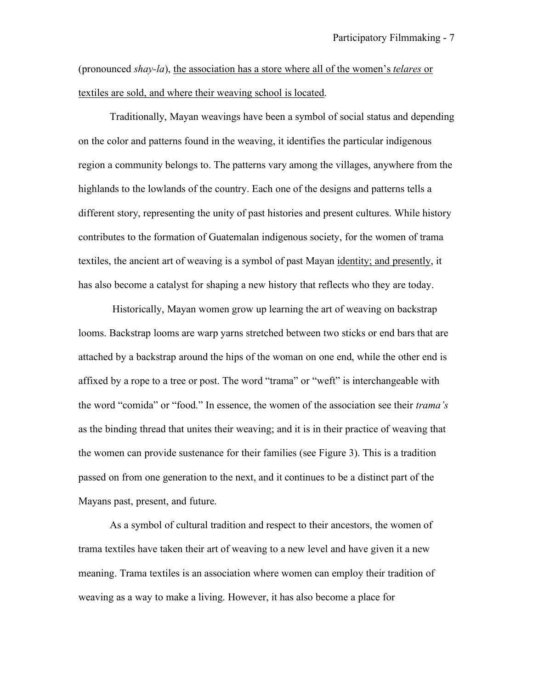(pronounced *shay-la*), the association has a store where all of the women's *telares* or textiles are sold, and where their weaving school is located.

Traditionally, Mayan weavings have been a symbol of social status and depending on the color and patterns found in the weaving, it identifies the particular indigenous region a community belongs to. The patterns vary among the villages, anywhere from the highlands to the lowlands of the country. Each one of the designs and patterns tells a different story, representing the unity of past histories and present cultures. While history contributes to the formation of Guatemalan indigenous society, for the women of trama textiles, the ancient art of weaving is a symbol of past Mayan identity; and presently, it has also become a catalyst for shaping a new history that reflects who they are today.

 Historically, Mayan women grow up learning the art of weaving on backstrap looms. Backstrap looms are warp yarns stretched between two sticks or end bars that are attached by a backstrap around the hips of the woman on one end, while the other end is affixed by a rope to a tree or post. The word "trama" or "weft" is interchangeable with the word "comida" or "food." In essence, the women of the association see their *trama's* as the binding thread that unites their weaving; and it is in their practice of weaving that the women can provide sustenance for their families (see Figure 3). This is a tradition passed on from one generation to the next, and it continues to be a distinct part of the Mayans past, present, and future.

As a symbol of cultural tradition and respect to their ancestors, the women of trama textiles have taken their art of weaving to a new level and have given it a new meaning. Trama textiles is an association where women can employ their tradition of weaving as a way to make a living. However, it has also become a place for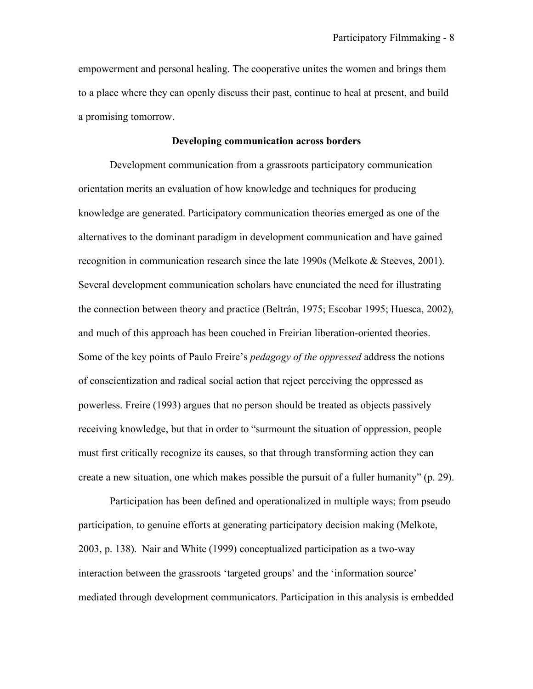empowerment and personal healing. The cooperative unites the women and brings them to a place where they can openly discuss their past, continue to heal at present, and build a promising tomorrow.

### **Developing communication across borders**

Development communication from a grassroots participatory communication orientation merits an evaluation of how knowledge and techniques for producing knowledge are generated. Participatory communication theories emerged as one of the alternatives to the dominant paradigm in development communication and have gained recognition in communication research since the late 1990s (Melkote & Steeves, 2001). Several development communication scholars have enunciated the need for illustrating the connection between theory and practice (Beltrán, 1975; Escobar 1995; Huesca, 2002), and much of this approach has been couched in Freirian liberation-oriented theories. Some of the key points of Paulo Freire's *pedagogy of the oppressed* address the notions of conscientization and radical social action that reject perceiving the oppressed as powerless. Freire (1993) argues that no person should be treated as objects passively receiving knowledge, but that in order to "surmount the situation of oppression, people must first critically recognize its causes, so that through transforming action they can create a new situation, one which makes possible the pursuit of a fuller humanity" (p. 29).

Participation has been defined and operationalized in multiple ways; from pseudo participation, to genuine efforts at generating participatory decision making (Melkote, 2003, p. 138). Nair and White (1999) conceptualized participation as a two-way interaction between the grassroots 'targeted groups' and the 'information source' mediated through development communicators. Participation in this analysis is embedded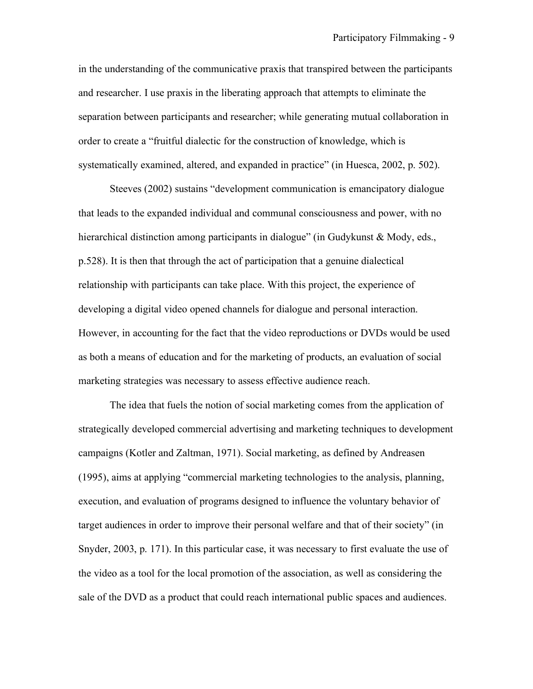in the understanding of the communicative praxis that transpired between the participants and researcher. I use praxis in the liberating approach that attempts to eliminate the separation between participants and researcher; while generating mutual collaboration in order to create a "fruitful dialectic for the construction of knowledge, which is systematically examined, altered, and expanded in practice" (in Huesca, 2002, p. 502).

Steeves (2002) sustains "development communication is emancipatory dialogue that leads to the expanded individual and communal consciousness and power, with no hierarchical distinction among participants in dialogue" (in Gudykunst & Mody, eds., p.528). It is then that through the act of participation that a genuine dialectical relationship with participants can take place. With this project, the experience of developing a digital video opened channels for dialogue and personal interaction. However, in accounting for the fact that the video reproductions or DVDs would be used as both a means of education and for the marketing of products, an evaluation of social marketing strategies was necessary to assess effective audience reach.

The idea that fuels the notion of social marketing comes from the application of strategically developed commercial advertising and marketing techniques to development campaigns (Kotler and Zaltman, 1971). Social marketing, as defined by Andreasen (1995), aims at applying "commercial marketing technologies to the analysis, planning, execution, and evaluation of programs designed to influence the voluntary behavior of target audiences in order to improve their personal welfare and that of their society" (in Snyder, 2003, p. 171). In this particular case, it was necessary to first evaluate the use of the video as a tool for the local promotion of the association, as well as considering the sale of the DVD as a product that could reach international public spaces and audiences.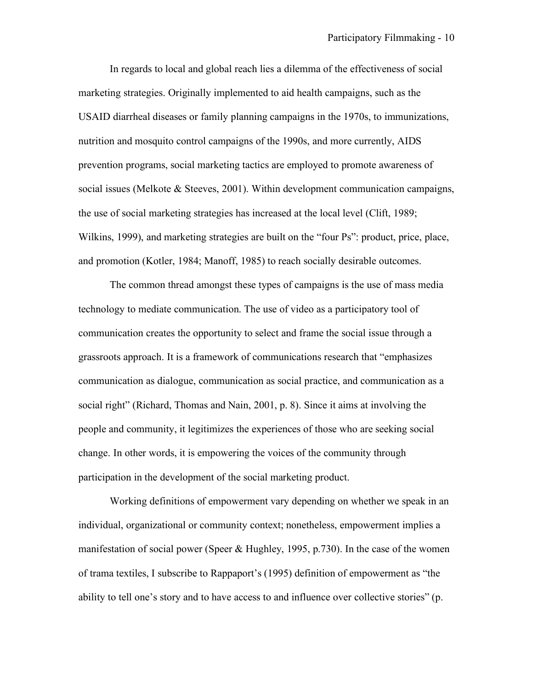In regards to local and global reach lies a dilemma of the effectiveness of social marketing strategies. Originally implemented to aid health campaigns, such as the USAID diarrheal diseases or family planning campaigns in the 1970s, to immunizations, nutrition and mosquito control campaigns of the 1990s, and more currently, AIDS prevention programs, social marketing tactics are employed to promote awareness of social issues (Melkote & Steeves, 2001). Within development communication campaigns, the use of social marketing strategies has increased at the local level (Clift, 1989; Wilkins, 1999), and marketing strategies are built on the "four Ps": product, price, place, and promotion (Kotler, 1984; Manoff, 1985) to reach socially desirable outcomes.

The common thread amongst these types of campaigns is the use of mass media technology to mediate communication. The use of video as a participatory tool of communication creates the opportunity to select and frame the social issue through a grassroots approach. It is a framework of communications research that "emphasizes communication as dialogue, communication as social practice, and communication as a social right" (Richard, Thomas and Nain, 2001, p. 8). Since it aims at involving the people and community, it legitimizes the experiences of those who are seeking social change. In other words, it is empowering the voices of the community through participation in the development of the social marketing product.

Working definitions of empowerment vary depending on whether we speak in an individual, organizational or community context; nonetheless, empowerment implies a manifestation of social power (Speer & Hughley, 1995, p.730). In the case of the women of trama textiles, I subscribe to Rappaport's (1995) definition of empowerment as "the ability to tell one's story and to have access to and influence over collective stories" (p.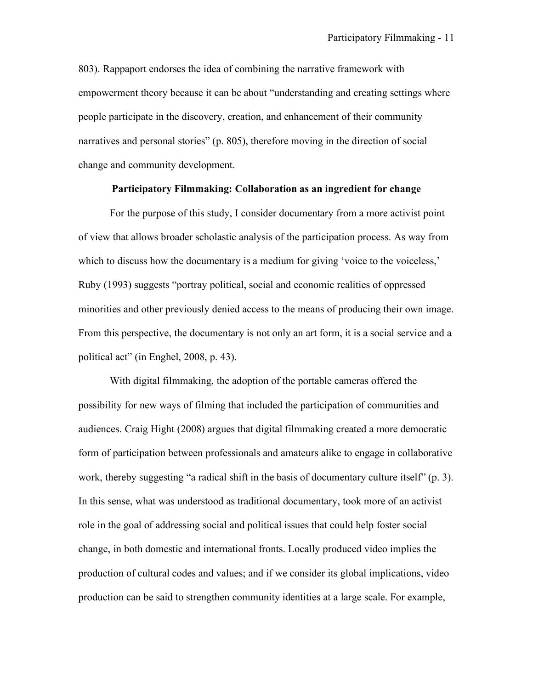803). Rappaport endorses the idea of combining the narrative framework with empowerment theory because it can be about "understanding and creating settings where people participate in the discovery, creation, and enhancement of their community narratives and personal stories" (p. 805), therefore moving in the direction of social change and community development.

# **Participatory Filmmaking: Collaboration as an ingredient for change**

For the purpose of this study, I consider documentary from a more activist point of view that allows broader scholastic analysis of the participation process. As way from which to discuss how the documentary is a medium for giving 'voice to the voiceless,' Ruby (1993) suggests "portray political, social and economic realities of oppressed minorities and other previously denied access to the means of producing their own image. From this perspective, the documentary is not only an art form, it is a social service and a political act" (in Enghel, 2008, p. 43).

With digital filmmaking, the adoption of the portable cameras offered the possibility for new ways of filming that included the participation of communities and audiences. Craig Hight (2008) argues that digital filmmaking created a more democratic form of participation between professionals and amateurs alike to engage in collaborative work, thereby suggesting "a radical shift in the basis of documentary culture itself" (p. 3). In this sense, what was understood as traditional documentary, took more of an activist role in the goal of addressing social and political issues that could help foster social change, in both domestic and international fronts. Locally produced video implies the production of cultural codes and values; and if we consider its global implications, video production can be said to strengthen community identities at a large scale. For example,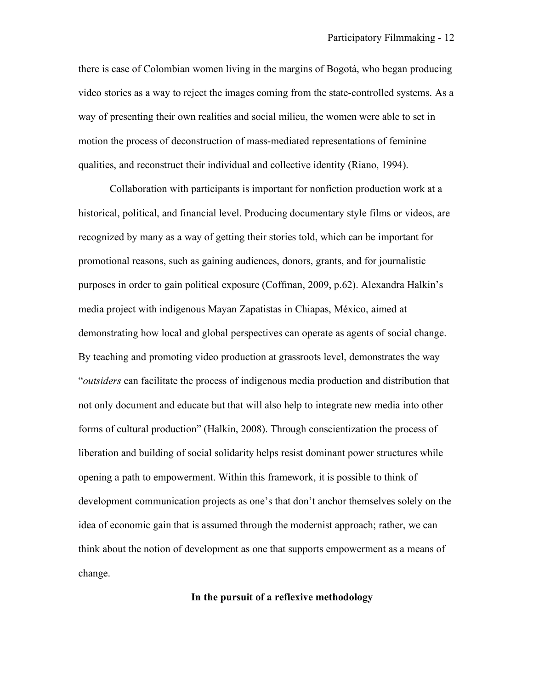there is case of Colombian women living in the margins of Bogotá, who began producing video stories as a way to reject the images coming from the state-controlled systems. As a way of presenting their own realities and social milieu, the women were able to set in motion the process of deconstruction of mass-mediated representations of feminine qualities, and reconstruct their individual and collective identity (Riano, 1994).

Collaboration with participants is important for nonfiction production work at a historical, political, and financial level. Producing documentary style films or videos, are recognized by many as a way of getting their stories told, which can be important for promotional reasons, such as gaining audiences, donors, grants, and for journalistic purposes in order to gain political exposure (Coffman, 2009, p.62). Alexandra Halkin's media project with indigenous Mayan Zapatistas in Chiapas, México, aimed at demonstrating how local and global perspectives can operate as agents of social change. By teaching and promoting video production at grassroots level, demonstrates the way "*outsiders* can facilitate the process of indigenous media production and distribution that not only document and educate but that will also help to integrate new media into other forms of cultural production" (Halkin, 2008). Through conscientization the process of liberation and building of social solidarity helps resist dominant power structures while opening a path to empowerment. Within this framework, it is possible to think of development communication projects as one's that don't anchor themselves solely on the idea of economic gain that is assumed through the modernist approach; rather, we can think about the notion of development as one that supports empowerment as a means of change.

**In the pursuit of a reflexive methodology**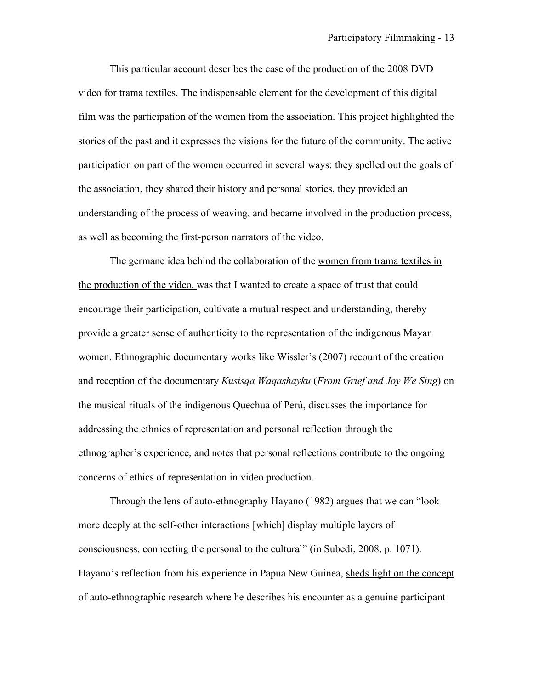This particular account describes the case of the production of the 2008 DVD video for trama textiles. The indispensable element for the development of this digital film was the participation of the women from the association. This project highlighted the stories of the past and it expresses the visions for the future of the community. The active participation on part of the women occurred in several ways: they spelled out the goals of the association, they shared their history and personal stories, they provided an understanding of the process of weaving, and became involved in the production process, as well as becoming the first-person narrators of the video.

The germane idea behind the collaboration of the women from trama textiles in the production of the video, was that I wanted to create a space of trust that could encourage their participation, cultivate a mutual respect and understanding, thereby provide a greater sense of authenticity to the representation of the indigenous Mayan women. Ethnographic documentary works like Wissler's (2007) recount of the creation and reception of the documentary *Kusisqa Waqashayku* (*From Grief and Joy We Sing*) on the musical rituals of the indigenous Quechua of Perú, discusses the importance for addressing the ethnics of representation and personal reflection through the ethnographer's experience, and notes that personal reflections contribute to the ongoing concerns of ethics of representation in video production.

Through the lens of auto-ethnography Hayano (1982) argues that we can "look more deeply at the self-other interactions [which] display multiple layers of consciousness, connecting the personal to the cultural" (in Subedi, 2008, p. 1071). Hayano's reflection from his experience in Papua New Guinea, sheds light on the concept of auto-ethnographic research where he describes his encounter as a genuine participant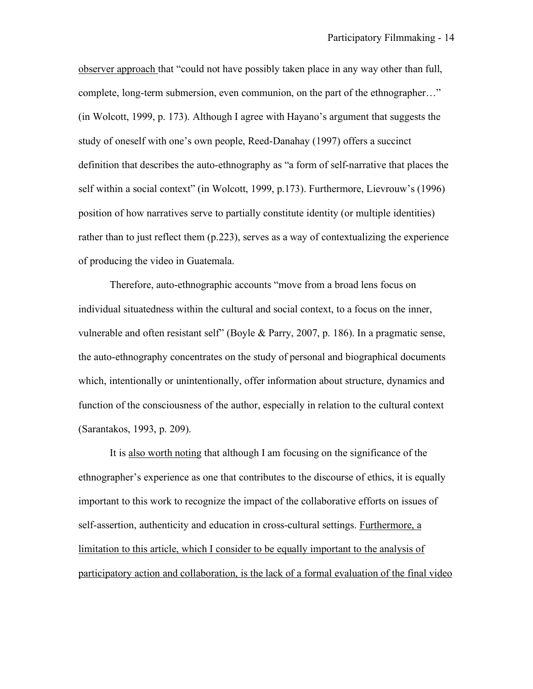observer approach that "could not have possibly taken place in any way other than full, complete, long-term submersion, even communion, on the part of the ethnographer…" (in Wolcott, 1999, p. 173). Although I agree with Hayano's argument that suggests the study of oneself with one's own people, Reed-Danahay (1997) offers a succinct definition that describes the auto-ethnography as "a form of self-narrative that places the self within a social context" (in Wolcott, 1999, p.173). Furthermore, Lievrouw's (1996) position of how narratives serve to partially constitute identity (or multiple identities) rather than to just reflect them (p.223), serves as a way of contextualizing the experience of producing the video in Guatemala.

Therefore, auto-ethnographic accounts "move from a broad lens focus on individual situatedness within the cultural and social context, to a focus on the inner, vulnerable and often resistant self" (Boyle & Parry, 2007, p. 186). In a pragmatic sense, the auto-ethnography concentrates on the study of personal and biographical documents which, intentionally or unintentionally, offer information about structure, dynamics and function of the consciousness of the author, especially in relation to the cultural context (Sarantakos, 1993, p. 209).

It is also worth noting that although I am focusing on the significance of the ethnographer's experience as one that contributes to the discourse of ethics, it is equally important to this work to recognize the impact of the collaborative efforts on issues of self-assertion, authenticity and education in cross-cultural settings. Furthermore, a limitation to this article, which I consider to be equally important to the analysis of participatory action and collaboration, is the lack of a formal evaluation of the final video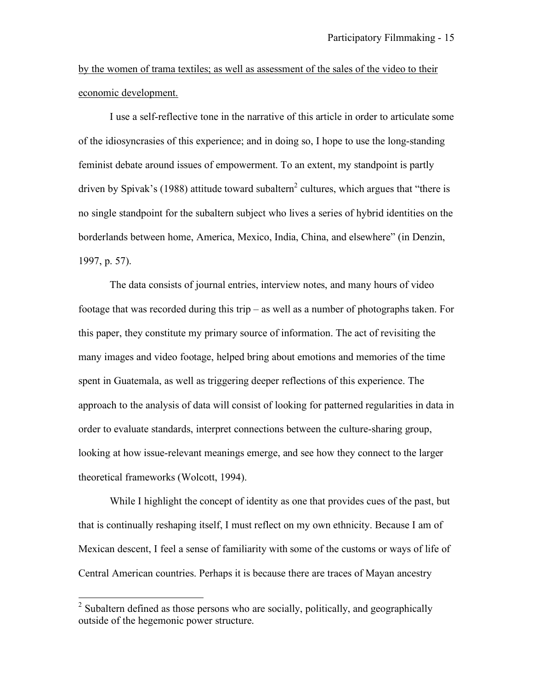by the women of trama textiles; as well as assessment of the sales of the video to their economic development.

I use a self-reflective tone in the narrative of this article in order to articulate some of the idiosyncrasies of this experience; and in doing so, I hope to use the long-standing feminist debate around issues of empowerment. To an extent, my standpoint is partly driven by Spivak's (1988) attitude toward subaltern<sup>2</sup> cultures, which argues that "there is no single standpoint for the subaltern subject who lives a series of hybrid identities on the borderlands between home, America, Mexico, India, China, and elsewhere" (in Denzin, 1997, p. 57).

The data consists of journal entries, interview notes, and many hours of video footage that was recorded during this trip – as well as a number of photographs taken. For this paper, they constitute my primary source of information. The act of revisiting the many images and video footage, helped bring about emotions and memories of the time spent in Guatemala, as well as triggering deeper reflections of this experience. The approach to the analysis of data will consist of looking for patterned regularities in data in order to evaluate standards, interpret connections between the culture-sharing group, looking at how issue-relevant meanings emerge, and see how they connect to the larger theoretical frameworks (Wolcott, 1994).

While I highlight the concept of identity as one that provides cues of the past, but that is continually reshaping itself, I must reflect on my own ethnicity. Because I am of Mexican descent, I feel a sense of familiarity with some of the customs or ways of life of Central American countries. Perhaps it is because there are traces of Mayan ancestry

<sup>&</sup>lt;sup>2</sup> Subaltern defined as those persons who are socially, politically, and geographically outside of the hegemonic power structure.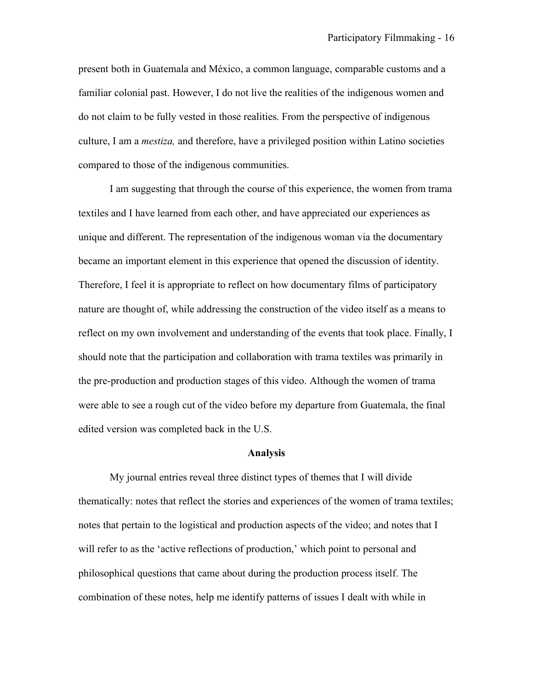present both in Guatemala and México, a common language, comparable customs and a familiar colonial past. However, I do not live the realities of the indigenous women and do not claim to be fully vested in those realities. From the perspective of indigenous culture, I am a *mestiza,* and therefore, have a privileged position within Latino societies compared to those of the indigenous communities.

I am suggesting that through the course of this experience, the women from trama textiles and I have learned from each other, and have appreciated our experiences as unique and different. The representation of the indigenous woman via the documentary became an important element in this experience that opened the discussion of identity. Therefore, I feel it is appropriate to reflect on how documentary films of participatory nature are thought of, while addressing the construction of the video itself as a means to reflect on my own involvement and understanding of the events that took place. Finally, I should note that the participation and collaboration with trama textiles was primarily in the pre-production and production stages of this video. Although the women of trama were able to see a rough cut of the video before my departure from Guatemala, the final edited version was completed back in the U.S.

#### **Analysis**

My journal entries reveal three distinct types of themes that I will divide thematically: notes that reflect the stories and experiences of the women of trama textiles; notes that pertain to the logistical and production aspects of the video; and notes that I will refer to as the 'active reflections of production,' which point to personal and philosophical questions that came about during the production process itself. The combination of these notes, help me identify patterns of issues I dealt with while in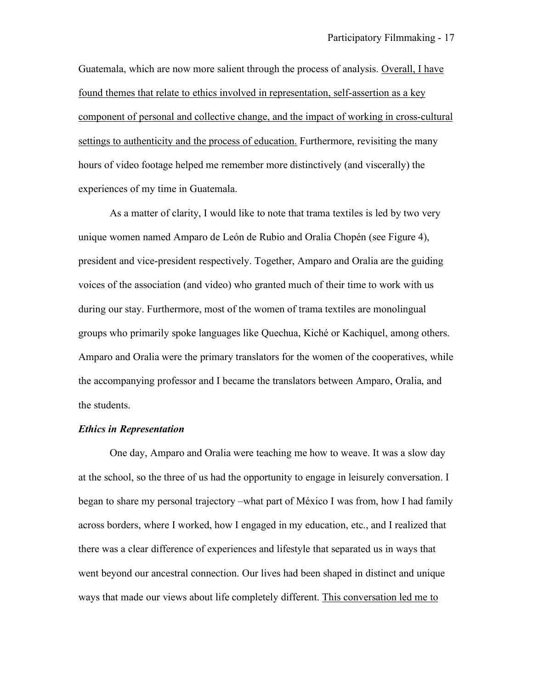Guatemala, which are now more salient through the process of analysis. Overall, I have found themes that relate to ethics involved in representation, self-assertion as a key component of personal and collective change, and the impact of working in cross-cultural settings to authenticity and the process of education. Furthermore, revisiting the many hours of video footage helped me remember more distinctively (and viscerally) the experiences of my time in Guatemala.

As a matter of clarity, I would like to note that trama textiles is led by two very unique women named Amparo de León de Rubio and Oralia Chopén (see Figure 4), president and vice-president respectively. Together, Amparo and Oralia are the guiding voices of the association (and video) who granted much of their time to work with us during our stay. Furthermore, most of the women of trama textiles are monolingual groups who primarily spoke languages like Quechua, Kiché or Kachiquel, among others. Amparo and Oralia were the primary translators for the women of the cooperatives, while the accompanying professor and I became the translators between Amparo, Oralia, and the students.

### *Ethics in Representation*

One day, Amparo and Oralia were teaching me how to weave. It was a slow day at the school, so the three of us had the opportunity to engage in leisurely conversation. I began to share my personal trajectory –what part of México I was from, how I had family across borders, where I worked, how I engaged in my education, etc., and I realized that there was a clear difference of experiences and lifestyle that separated us in ways that went beyond our ancestral connection. Our lives had been shaped in distinct and unique ways that made our views about life completely different. This conversation led me to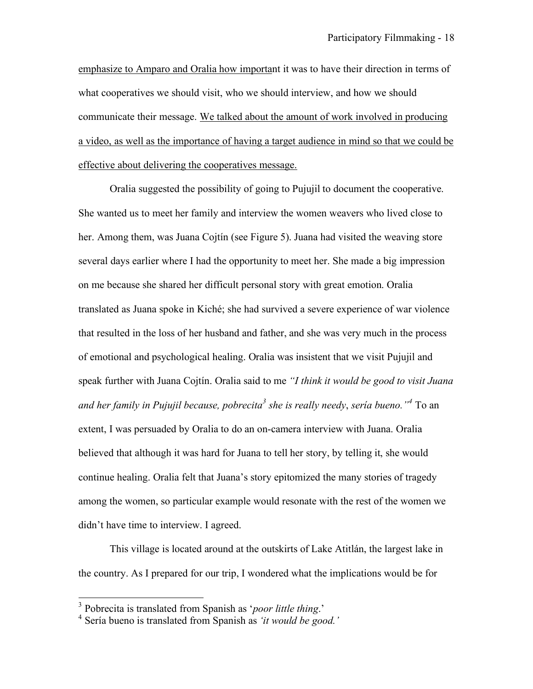emphasize to Amparo and Oralia how important it was to have their direction in terms of what cooperatives we should visit, who we should interview, and how we should communicate their message. We talked about the amount of work involved in producing a video, as well as the importance of having a target audience in mind so that we could be effective about delivering the cooperatives message.

Oralia suggested the possibility of going to Pujujil to document the cooperative. She wanted us to meet her family and interview the women weavers who lived close to her. Among them, was Juana Cojtín (see Figure 5). Juana had visited the weaving store several days earlier where I had the opportunity to meet her. She made a big impression on me because she shared her difficult personal story with great emotion. Oralia translated as Juana spoke in Kiché; she had survived a severe experience of war violence that resulted in the loss of her husband and father, and she was very much in the process of emotional and psychological healing. Oralia was insistent that we visit Pujujil and speak further with Juana Cojtín. Oralia said to me *"I think it would be good to visit Juana*  and her family in Pujujil because, pobrecita<sup>3</sup> she is really needy, sería bueno.<sup>"4</sup> To an extent, I was persuaded by Oralia to do an on-camera interview with Juana. Oralia believed that although it was hard for Juana to tell her story, by telling it, she would continue healing. Oralia felt that Juana's story epitomized the many stories of tragedy among the women, so particular example would resonate with the rest of the women we didn't have time to interview. I agreed.

This village is located around at the outskirts of Lake Atitlán, the largest lake in the country. As I prepared for our trip, I wondered what the implications would be for

 <sup>3</sup> Pobrecita is translated from Spanish as '*poor little thing*.'

<sup>4</sup> Sería bueno is translated from Spanish as *'it would be good.'*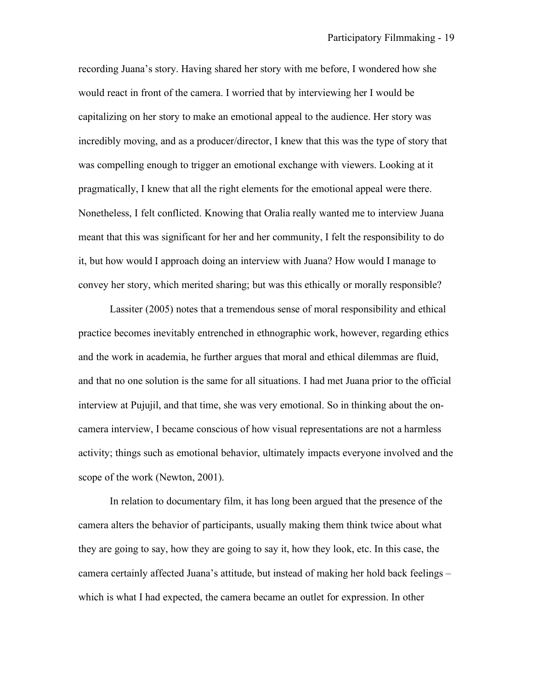recording Juana's story. Having shared her story with me before, I wondered how she would react in front of the camera. I worried that by interviewing her I would be capitalizing on her story to make an emotional appeal to the audience. Her story was incredibly moving, and as a producer/director, I knew that this was the type of story that was compelling enough to trigger an emotional exchange with viewers. Looking at it pragmatically, I knew that all the right elements for the emotional appeal were there. Nonetheless, I felt conflicted. Knowing that Oralia really wanted me to interview Juana meant that this was significant for her and her community, I felt the responsibility to do it, but how would I approach doing an interview with Juana? How would I manage to convey her story, which merited sharing; but was this ethically or morally responsible?

Lassiter (2005) notes that a tremendous sense of moral responsibility and ethical practice becomes inevitably entrenched in ethnographic work, however, regarding ethics and the work in academia, he further argues that moral and ethical dilemmas are fluid, and that no one solution is the same for all situations. I had met Juana prior to the official interview at Pujujil, and that time, she was very emotional. So in thinking about the oncamera interview, I became conscious of how visual representations are not a harmless activity; things such as emotional behavior, ultimately impacts everyone involved and the scope of the work (Newton, 2001).

In relation to documentary film, it has long been argued that the presence of the camera alters the behavior of participants, usually making them think twice about what they are going to say, how they are going to say it, how they look, etc. In this case, the camera certainly affected Juana's attitude, but instead of making her hold back feelings – which is what I had expected, the camera became an outlet for expression. In other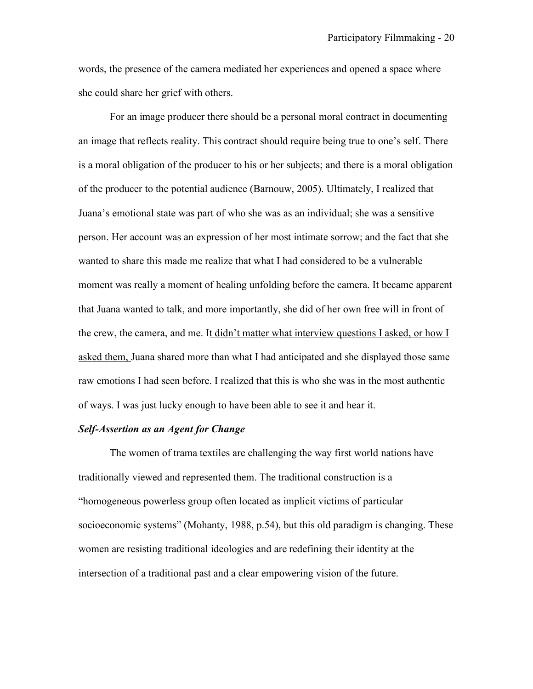words, the presence of the camera mediated her experiences and opened a space where she could share her grief with others.

For an image producer there should be a personal moral contract in documenting an image that reflects reality. This contract should require being true to one's self. There is a moral obligation of the producer to his or her subjects; and there is a moral obligation of the producer to the potential audience (Barnouw, 2005). Ultimately, I realized that Juana's emotional state was part of who she was as an individual; she was a sensitive person. Her account was an expression of her most intimate sorrow; and the fact that she wanted to share this made me realize that what I had considered to be a vulnerable moment was really a moment of healing unfolding before the camera. It became apparent that Juana wanted to talk, and more importantly, she did of her own free will in front of the crew, the camera, and me. It didn't matter what interview questions I asked, or how I asked them, Juana shared more than what I had anticipated and she displayed those same raw emotions I had seen before. I realized that this is who she was in the most authentic of ways. I was just lucky enough to have been able to see it and hear it.

# *Self-Assertion as an Agent for Change*

The women of trama textiles are challenging the way first world nations have traditionally viewed and represented them. The traditional construction is a "homogeneous powerless group often located as implicit victims of particular socioeconomic systems" (Mohanty, 1988, p.54), but this old paradigm is changing. These women are resisting traditional ideologies and are redefining their identity at the intersection of a traditional past and a clear empowering vision of the future.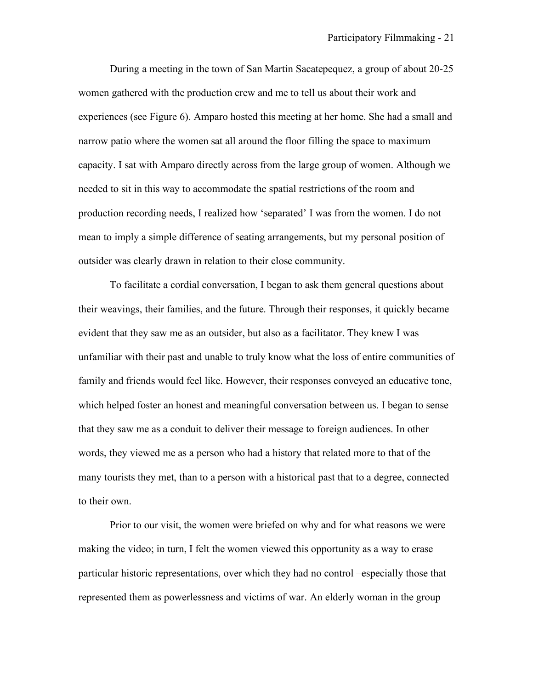During a meeting in the town of San Martín Sacatepequez, a group of about 20-25 women gathered with the production crew and me to tell us about their work and experiences (see Figure 6). Amparo hosted this meeting at her home. She had a small and narrow patio where the women sat all around the floor filling the space to maximum capacity. I sat with Amparo directly across from the large group of women. Although we needed to sit in this way to accommodate the spatial restrictions of the room and production recording needs, I realized how 'separated' I was from the women. I do not mean to imply a simple difference of seating arrangements, but my personal position of outsider was clearly drawn in relation to their close community.

To facilitate a cordial conversation, I began to ask them general questions about their weavings, their families, and the future. Through their responses, it quickly became evident that they saw me as an outsider, but also as a facilitator. They knew I was unfamiliar with their past and unable to truly know what the loss of entire communities of family and friends would feel like. However, their responses conveyed an educative tone, which helped foster an honest and meaningful conversation between us. I began to sense that they saw me as a conduit to deliver their message to foreign audiences. In other words, they viewed me as a person who had a history that related more to that of the many tourists they met, than to a person with a historical past that to a degree, connected to their own.

Prior to our visit, the women were briefed on why and for what reasons we were making the video; in turn, I felt the women viewed this opportunity as a way to erase particular historic representations, over which they had no control –especially those that represented them as powerlessness and victims of war. An elderly woman in the group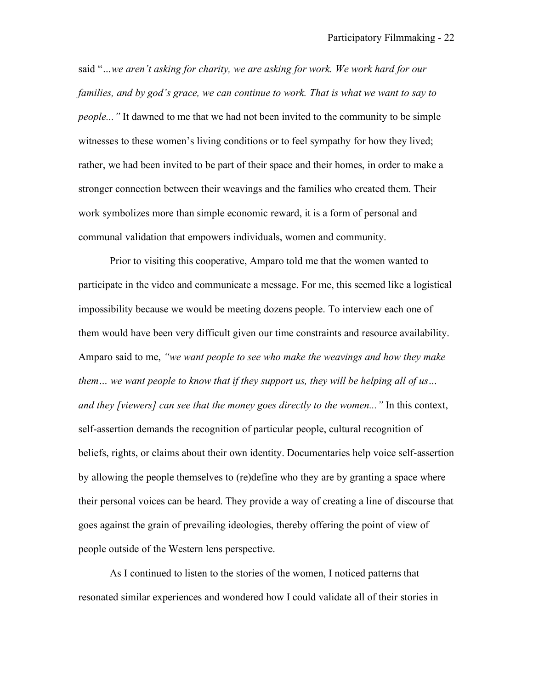said "*…we aren't asking for charity, we are asking for work. We work hard for our families, and by god's grace, we can continue to work. That is what we want to say to people..."* It dawned to me that we had not been invited to the community to be simple witnesses to these women's living conditions or to feel sympathy for how they lived; rather, we had been invited to be part of their space and their homes, in order to make a stronger connection between their weavings and the families who created them. Their work symbolizes more than simple economic reward, it is a form of personal and communal validation that empowers individuals, women and community.

Prior to visiting this cooperative, Amparo told me that the women wanted to participate in the video and communicate a message. For me, this seemed like a logistical impossibility because we would be meeting dozens people. To interview each one of them would have been very difficult given our time constraints and resource availability. Amparo said to me, *"we want people to see who make the weavings and how they make them… we want people to know that if they support us, they will be helping all of us… and they [viewers] can see that the money goes directly to the women..."* In this context, self-assertion demands the recognition of particular people, cultural recognition of beliefs, rights, or claims about their own identity. Documentaries help voice self-assertion by allowing the people themselves to (re)define who they are by granting a space where their personal voices can be heard. They provide a way of creating a line of discourse that goes against the grain of prevailing ideologies, thereby offering the point of view of people outside of the Western lens perspective.

As I continued to listen to the stories of the women, I noticed patterns that resonated similar experiences and wondered how I could validate all of their stories in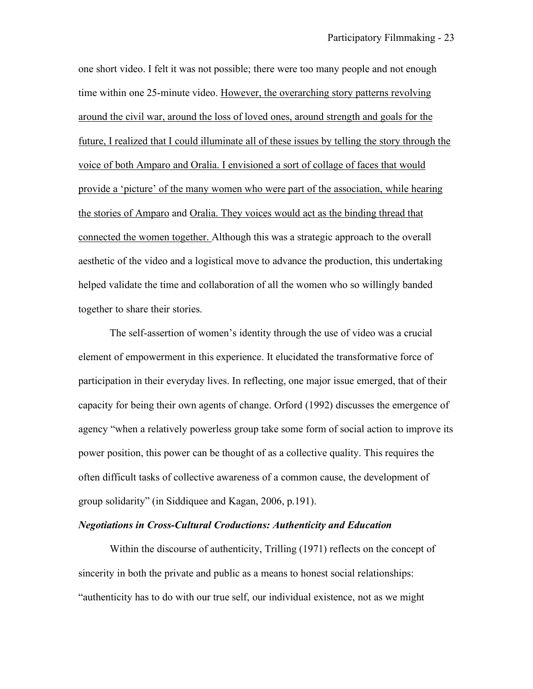one short video. I felt it was not possible; there were too many people and not enough time within one 25-minute video. However, the overarching story patterns revolving around the civil war, around the loss of loved ones, around strength and goals for the future, I realized that I could illuminate all of these issues by telling the story through the voice of both Amparo and Oralia. I envisioned a sort of collage of faces that would provide a 'picture' of the many women who were part of the association, while hearing the stories of Amparo and Oralia. They voices would act as the binding thread that connected the women together. Although this was a strategic approach to the overall aesthetic of the video and a logistical move to advance the production, this undertaking helped validate the time and collaboration of all the women who so willingly banded together to share their stories.

The self-assertion of women's identity through the use of video was a crucial element of empowerment in this experience. It elucidated the transformative force of participation in their everyday lives. In reflecting, one major issue emerged, that of their capacity for being their own agents of change. Orford (1992) discusses the emergence of agency "when a relatively powerless group take some form of social action to improve its power position, this power can be thought of as a collective quality. This requires the often difficult tasks of collective awareness of a common cause, the development of group solidarity" (in Siddiquee and Kagan, 2006, p.191).

# *Negotiations in Cross-Cultural Croductions: Authenticity and Education*

Within the discourse of authenticity, Trilling (1971) reflects on the concept of sincerity in both the private and public as a means to honest social relationships: "authenticity has to do with our true self, our individual existence, not as we might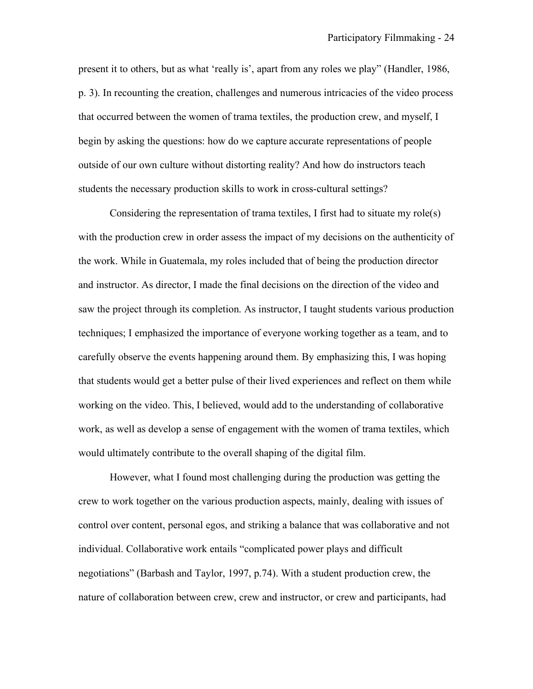present it to others, but as what 'really is', apart from any roles we play" (Handler, 1986, p. 3). In recounting the creation, challenges and numerous intricacies of the video process that occurred between the women of trama textiles, the production crew, and myself, I begin by asking the questions: how do we capture accurate representations of people outside of our own culture without distorting reality? And how do instructors teach students the necessary production skills to work in cross-cultural settings?

Considering the representation of trama textiles, I first had to situate my role(s) with the production crew in order assess the impact of my decisions on the authenticity of the work. While in Guatemala, my roles included that of being the production director and instructor. As director, I made the final decisions on the direction of the video and saw the project through its completion. As instructor, I taught students various production techniques; I emphasized the importance of everyone working together as a team, and to carefully observe the events happening around them. By emphasizing this, I was hoping that students would get a better pulse of their lived experiences and reflect on them while working on the video. This, I believed, would add to the understanding of collaborative work, as well as develop a sense of engagement with the women of trama textiles, which would ultimately contribute to the overall shaping of the digital film.

However, what I found most challenging during the production was getting the crew to work together on the various production aspects, mainly, dealing with issues of control over content, personal egos, and striking a balance that was collaborative and not individual. Collaborative work entails "complicated power plays and difficult negotiations" (Barbash and Taylor, 1997, p.74). With a student production crew, the nature of collaboration between crew, crew and instructor, or crew and participants, had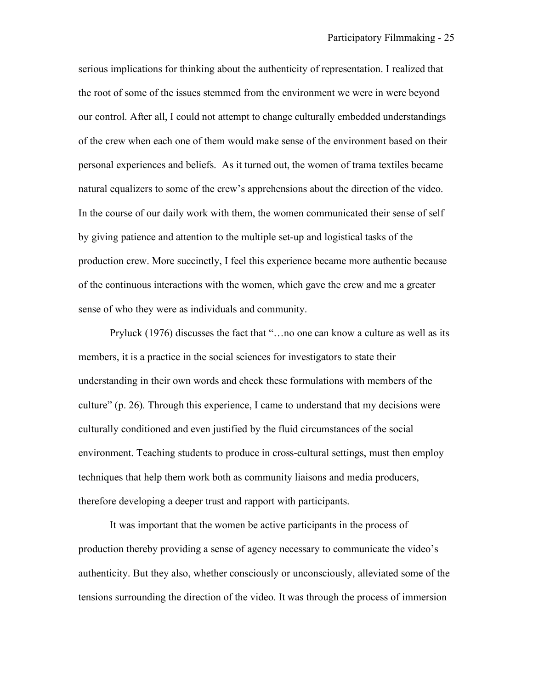serious implications for thinking about the authenticity of representation. I realized that the root of some of the issues stemmed from the environment we were in were beyond our control. After all, I could not attempt to change culturally embedded understandings of the crew when each one of them would make sense of the environment based on their personal experiences and beliefs. As it turned out, the women of trama textiles became natural equalizers to some of the crew's apprehensions about the direction of the video. In the course of our daily work with them, the women communicated their sense of self by giving patience and attention to the multiple set-up and logistical tasks of the production crew. More succinctly, I feel this experience became more authentic because of the continuous interactions with the women, which gave the crew and me a greater sense of who they were as individuals and community.

Pryluck (1976) discusses the fact that "…no one can know a culture as well as its members, it is a practice in the social sciences for investigators to state their understanding in their own words and check these formulations with members of the culture" (p. 26). Through this experience, I came to understand that my decisions were culturally conditioned and even justified by the fluid circumstances of the social environment. Teaching students to produce in cross-cultural settings, must then employ techniques that help them work both as community liaisons and media producers, therefore developing a deeper trust and rapport with participants.

It was important that the women be active participants in the process of production thereby providing a sense of agency necessary to communicate the video's authenticity. But they also, whether consciously or unconsciously, alleviated some of the tensions surrounding the direction of the video. It was through the process of immersion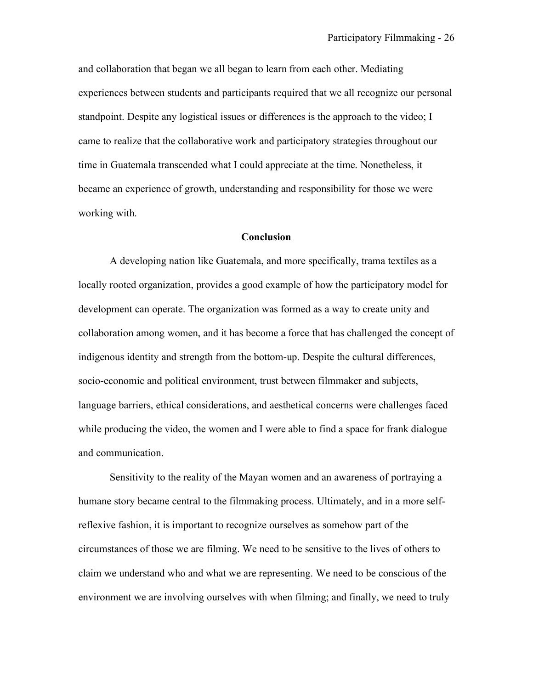and collaboration that began we all began to learn from each other. Mediating experiences between students and participants required that we all recognize our personal standpoint. Despite any logistical issues or differences is the approach to the video; I came to realize that the collaborative work and participatory strategies throughout our time in Guatemala transcended what I could appreciate at the time. Nonetheless, it became an experience of growth, understanding and responsibility for those we were working with.

### **Conclusion**

A developing nation like Guatemala, and more specifically, trama textiles as a locally rooted organization, provides a good example of how the participatory model for development can operate. The organization was formed as a way to create unity and collaboration among women, and it has become a force that has challenged the concept of indigenous identity and strength from the bottom-up. Despite the cultural differences, socio-economic and political environment, trust between filmmaker and subjects, language barriers, ethical considerations, and aesthetical concerns were challenges faced while producing the video, the women and I were able to find a space for frank dialogue and communication.

Sensitivity to the reality of the Mayan women and an awareness of portraying a humane story became central to the filmmaking process. Ultimately, and in a more selfreflexive fashion, it is important to recognize ourselves as somehow part of the circumstances of those we are filming. We need to be sensitive to the lives of others to claim we understand who and what we are representing. We need to be conscious of the environment we are involving ourselves with when filming; and finally, we need to truly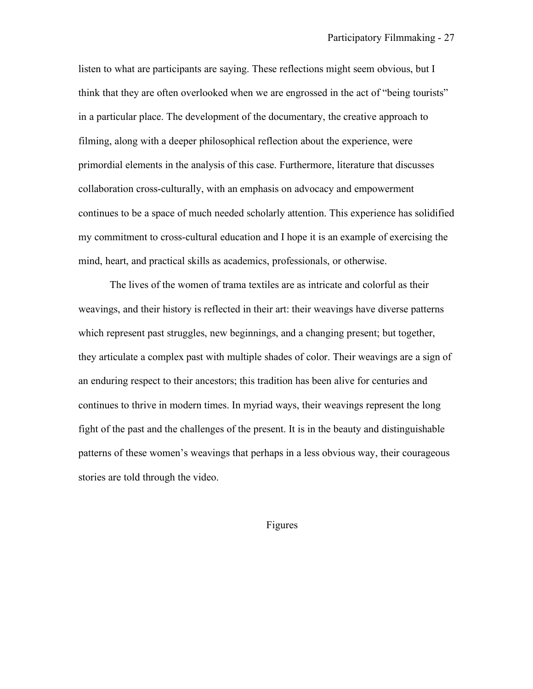listen to what are participants are saying. These reflections might seem obvious, but I think that they are often overlooked when we are engrossed in the act of "being tourists" in a particular place. The development of the documentary, the creative approach to filming, along with a deeper philosophical reflection about the experience, were primordial elements in the analysis of this case. Furthermore, literature that discusses collaboration cross-culturally, with an emphasis on advocacy and empowerment continues to be a space of much needed scholarly attention. This experience has solidified my commitment to cross-cultural education and I hope it is an example of exercising the mind, heart, and practical skills as academics, professionals, or otherwise.

The lives of the women of trama textiles are as intricate and colorful as their weavings, and their history is reflected in their art: their weavings have diverse patterns which represent past struggles, new beginnings, and a changing present; but together, they articulate a complex past with multiple shades of color. Their weavings are a sign of an enduring respect to their ancestors; this tradition has been alive for centuries and continues to thrive in modern times. In myriad ways, their weavings represent the long fight of the past and the challenges of the present. It is in the beauty and distinguishable patterns of these women's weavings that perhaps in a less obvious way, their courageous stories are told through the video.

Figures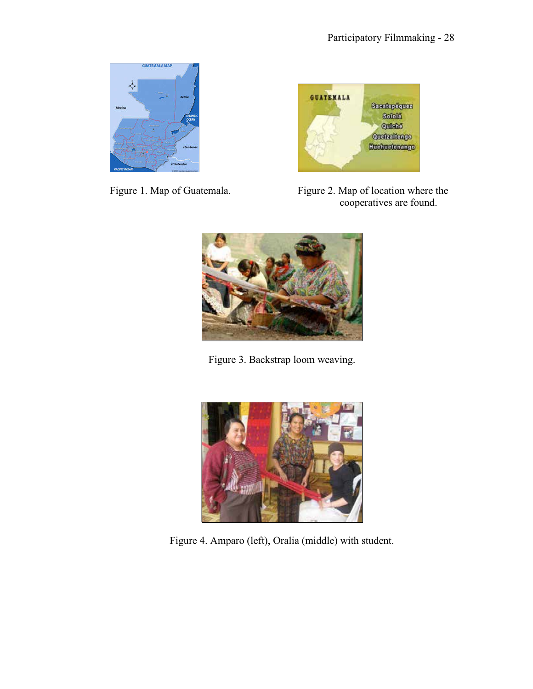







Figure 3. Backstrap loom weaving.



Figure 4. Amparo (left), Oralia (middle) with student.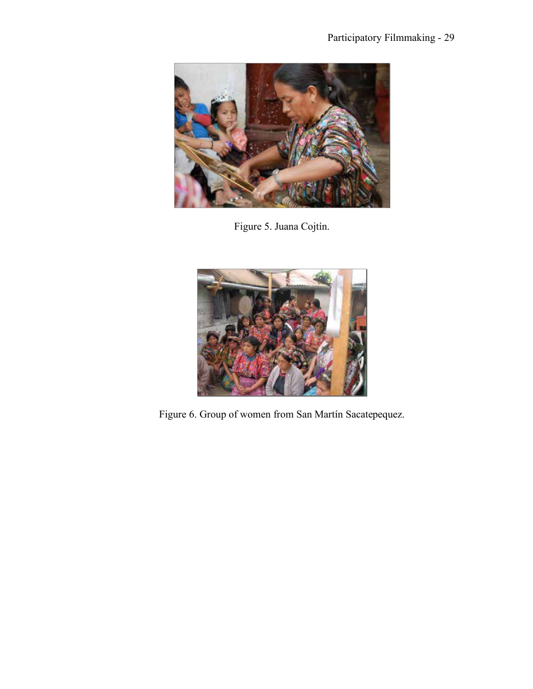

Figure 5. Juana Cojtín.



Figure 6. Group of women from San Martín Sacatepequez.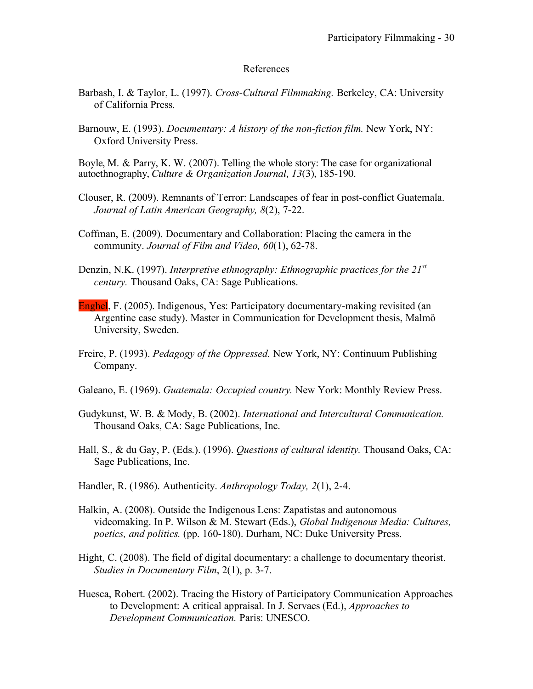### References

- Barbash, I. & Taylor, L. (1997). *Cross-Cultural Filmmaking.* Berkeley, CA: University of California Press.
- Barnouw, E. (1993). *Documentary: A history of the non-fiction film.* New York, NY: Oxford University Press.

Boyle, M. & Parry, K. W. (2007). Telling the whole story: The case for organizational autoethnography, *Culture & Organization Journal, 13*(3), 185-190.

- Clouser, R. (2009). Remnants of Terror: Landscapes of fear in post-conflict Guatemala. *Journal of Latin American Geography, 8*(2), 7-22.
- Coffman, E. (2009). Documentary and Collaboration: Placing the camera in the community. *Journal of Film and Video, 60*(1), 62-78.
- Denzin, N.K. (1997). *Interpretive ethnography: Ethnographic practices for the 21st century.* Thousand Oaks, CA: Sage Publications.
- Enghel, F. (2005). Indigenous, Yes: Participatory documentary-making revisited (an Argentine case study). Master in Communication for Development thesis, Malmö University, Sweden.
- Freire, P. (1993). *Pedagogy of the Oppressed.* New York, NY: Continuum Publishing Company.
- Galeano, E. (1969). *Guatemala: Occupied country.* New York: Monthly Review Press.
- Gudykunst, W. B. & Mody, B. (2002). *International and Intercultural Communication.* Thousand Oaks, CA: Sage Publications, Inc.
- Hall, S., & du Gay, P. (Eds.). (1996). *Questions of cultural identity.* Thousand Oaks, CA: Sage Publications, Inc.
- Handler, R. (1986). Authenticity. *Anthropology Today, 2*(1), 2-4.
- Halkin, A. (2008). Outside the Indigenous Lens: Zapatistas and autonomous videomaking. In P. Wilson & M. Stewart (Eds.), *Global Indigenous Media: Cultures, poetics, and politics.* (pp. 160-180). Durham, NC: Duke University Press.
- Hight, C. (2008). The field of digital documentary: a challenge to documentary theorist. *Studies in Documentary Film*, 2(1), p. 3-7.
- Huesca, Robert. (2002). Tracing the History of Participatory Communication Approaches to Development: A critical appraisal. In J. Servaes (Ed.), *Approaches to Development Communication.* Paris: UNESCO.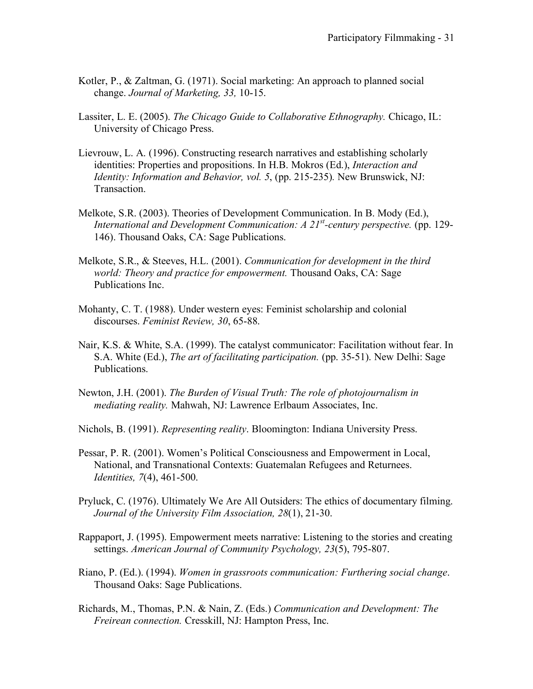- Kotler, P., & Zaltman, G. (1971). Social marketing: An approach to planned social change. *Journal of Marketing, 33,* 10-15.
- Lassiter, L. E. (2005). *The Chicago Guide to Collaborative Ethnography.* Chicago, IL: University of Chicago Press.
- Lievrouw, L. A. (1996). Constructing research narratives and establishing scholarly identities: Properties and propositions. In H.B. Mokros (Ed.), *Interaction and Identity: Information and Behavior, vol. 5*, (pp. 215-235)*.* New Brunswick, NJ: Transaction.
- Melkote, S.R. (2003). Theories of Development Communication. In B. Mody (Ed.), *International and Development Communication: A 21st -century perspective.* (pp. 129- 146). Thousand Oaks, CA: Sage Publications.
- Melkote, S.R., & Steeves, H.L. (2001). *Communication for development in the third world: Theory and practice for empowerment.* Thousand Oaks, CA: Sage Publications Inc.
- Mohanty, C. T. (1988). Under western eyes: Feminist scholarship and colonial discourses. *Feminist Review, 30*, 65-88.
- Nair, K.S. & White, S.A. (1999). The catalyst communicator: Facilitation without fear. In S.A. White (Ed.), *The art of facilitating participation.* (pp. 35-51). New Delhi: Sage Publications.
- Newton, J.H. (2001). *The Burden of Visual Truth: The role of photojournalism in mediating reality.* Mahwah, NJ: Lawrence Erlbaum Associates, Inc.
- Nichols, B. (1991). *Representing reality*. Bloomington: Indiana University Press.
- Pessar, P. R. (2001). Women's Political Consciousness and Empowerment in Local, National, and Transnational Contexts: Guatemalan Refugees and Returnees. *Identities, 7*(4), 461-500.
- Pryluck, C. (1976). Ultimately We Are All Outsiders: The ethics of documentary filming. *Journal of the University Film Association, 28*(1), 21-30.
- Rappaport, J. (1995). Empowerment meets narrative: Listening to the stories and creating settings. *American Journal of Community Psychology, 23*(5), 795-807.
- Riano, P. (Ed.). (1994). *Women in grassroots communication: Furthering social change*. Thousand Oaks: Sage Publications.
- Richards, M., Thomas, P.N. & Nain, Z. (Eds.) *Communication and Development: The Freirean connection.* Cresskill, NJ: Hampton Press, Inc.